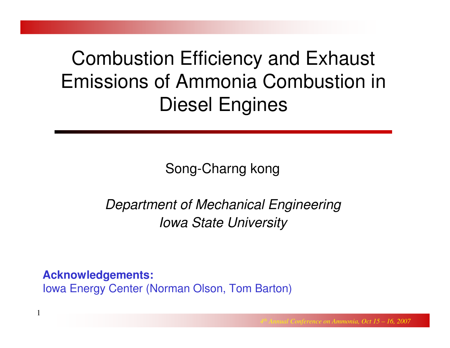# Combustion Efficiency and Exhaust Emissions of Ammonia Combustion in Diesel Engines

Song-Charng kong

Department of Mechanical EngineeringIowa State University

**Acknowledgements:**

1

Iowa Energy Center (Norman Olson, Tom Barton)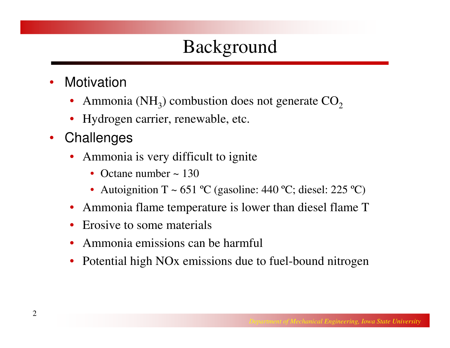# Background

- $\bullet$ **Motivation** 
	- •Ammonia (NH<sub>3</sub>) combustion does not generate  $CO<sub>2</sub>$
	- •Hydrogen carrier, renewable, etc.
- $\bullet$ **Challenges** 
	- $\bullet$  Ammonia is very difficult to ignite
		- Octane number  $\sim 130$
		- Autoignition T ~ 651 °C (gasoline: 440 °C; diesel: 225 °C)
	- $\bullet$ Ammonia flame temperature is lower than diesel flame T
	- •Erosive to some materials
	- •Ammonia emissions can be harmful
	- •Potential high NOx emissions due to fuel-bound nitrogen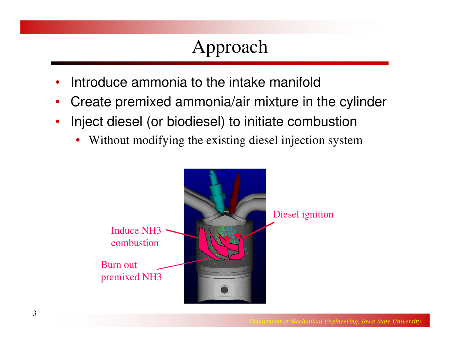# Approach

- •Introduce ammonia to the intake manifold
- $\bullet$ Create premixed ammonia/air mixture in the cylinder
- $\bullet$  Inject diesel (or biodiesel) to initiate combustion
	- •Without modifying the existing diesel injection system

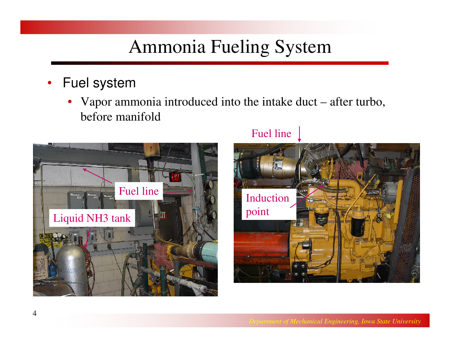### Ammonia Fueling System

- Fuel system
	- Vapor ammonia introduced into the intake duct after turbo, •before manifold



#### Fuel line

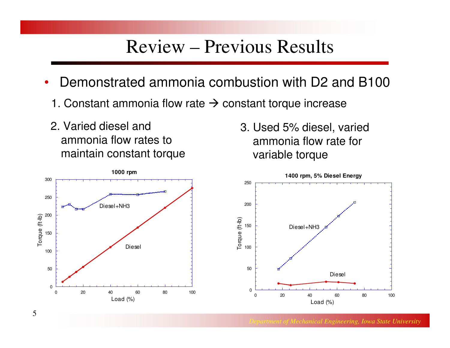#### Review – Previous Results

- • Demonstrated ammonia combustion with D2 and B100
	- 1. Constant ammonia flow rate  $\rightarrow$  constant torque increase
- 2. Varied diesel and ammonia flow rates to maintain constant torque

3. Used 5% diesel, varied ammonia flow rate for variable torque



*Department of Mechanical Engineering, Iowa State University*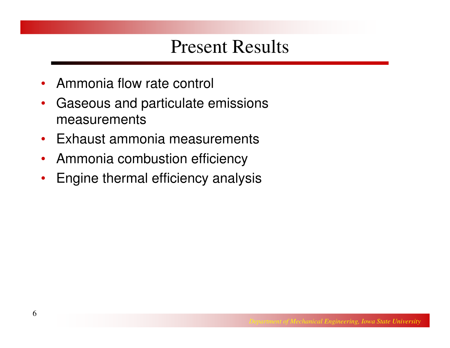### Present Results

- $\bullet$ Ammonia flow rate control
- • Gaseous and particulate emissions measurements
- Exhaust ammonia measurements
- Ammonia combustion efficiency
- Engine thermal efficiency analysis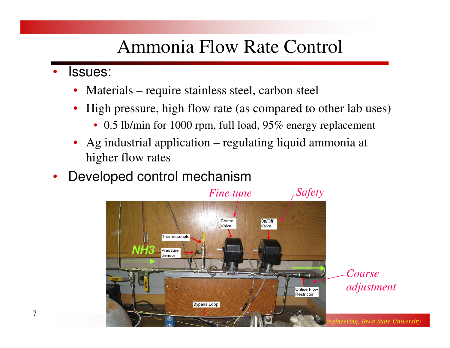### Ammonia Flow Rate Control

- • Issues:
	- $\bullet$ Materials – require stainless steel, carbon steel
	- $\bullet$  High pressure, high flow rate (as compared to other lab uses)
		- 0.5 lb/min for 1000 rpm, full load, 95% energy replacement
	- • Ag industrial application – regulating liquid ammonia at higher flow rates
- •Developed control mechanism

![](_page_6_Picture_7.jpeg)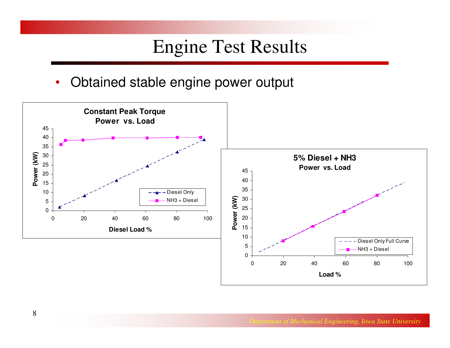#### Engine Test Results

 $\bullet$ Obtained stable engine power output

![](_page_7_Figure_2.jpeg)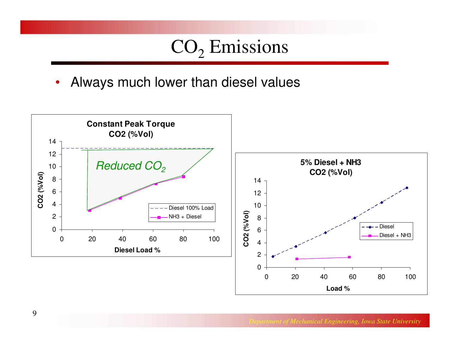# $\mathbf{CO}_{2}$  Emissions

•Always much lower than diesel values

![](_page_8_Figure_2.jpeg)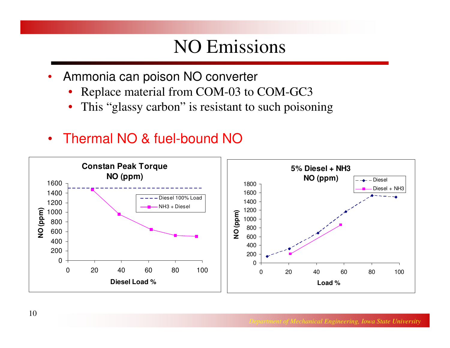### NO Emissions

- • Ammonia can poison NO converter
	- •Replace material from COM-03 to COM-GC3
	- •This "glassy carbon" is resistant to such poisoning
- Thermal NO & fuel-bound NO

![](_page_9_Figure_5.jpeg)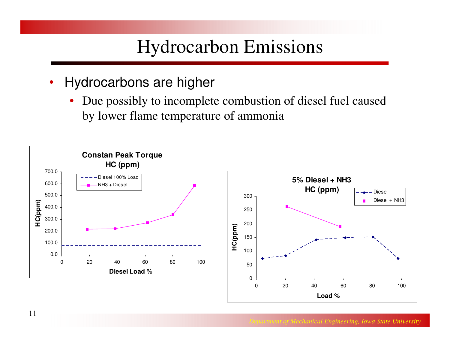### Hydrocarbon Emissions

- $\bullet$  Hydrocarbons are higher
	- Due possibly to incomplete combustion of diesel fuel caused by lower flame temperature of ammonia

![](_page_10_Figure_3.jpeg)

![](_page_10_Figure_4.jpeg)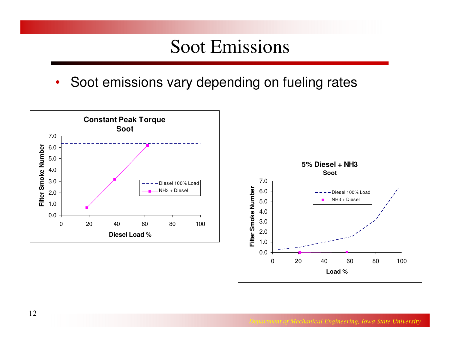#### Soot Emissions

•Soot emissions vary depending on fueling rates

![](_page_11_Figure_2.jpeg)

![](_page_11_Figure_3.jpeg)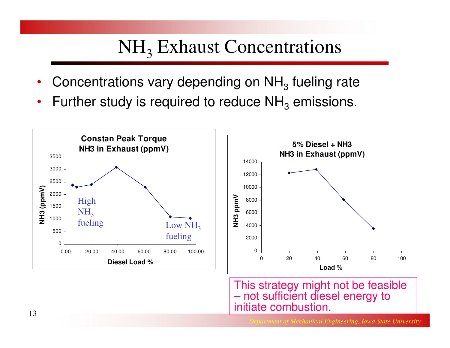# NH<sub>3</sub> Exhaust Concentrations

- $\bullet$ • Concentrations vary depending on  $NH<sub>3</sub>$  fueling rate
- •• Further study is required to reduce  $NH<sub>3</sub>$  emissions.

![](_page_12_Figure_3.jpeg)

This strategy might not be feasible not sufficient diesel energy to initiate combustion.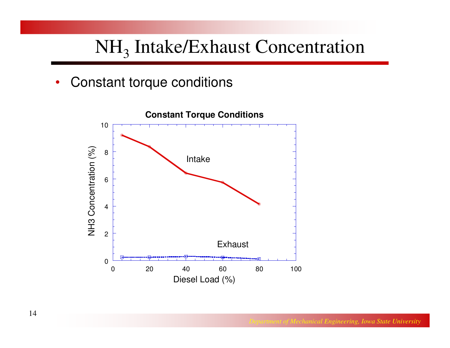# NH<sub>3</sub> Intake/Exhaust Concentration

 $\bullet$ Constant torque conditions

![](_page_13_Figure_2.jpeg)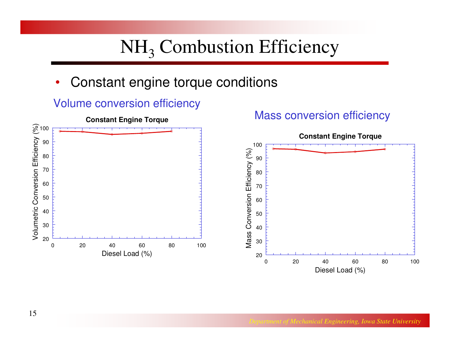# $NH<sub>3</sub>$  Combustion Efficiency

 $\bullet$ Constant engine torque conditions

![](_page_14_Figure_2.jpeg)